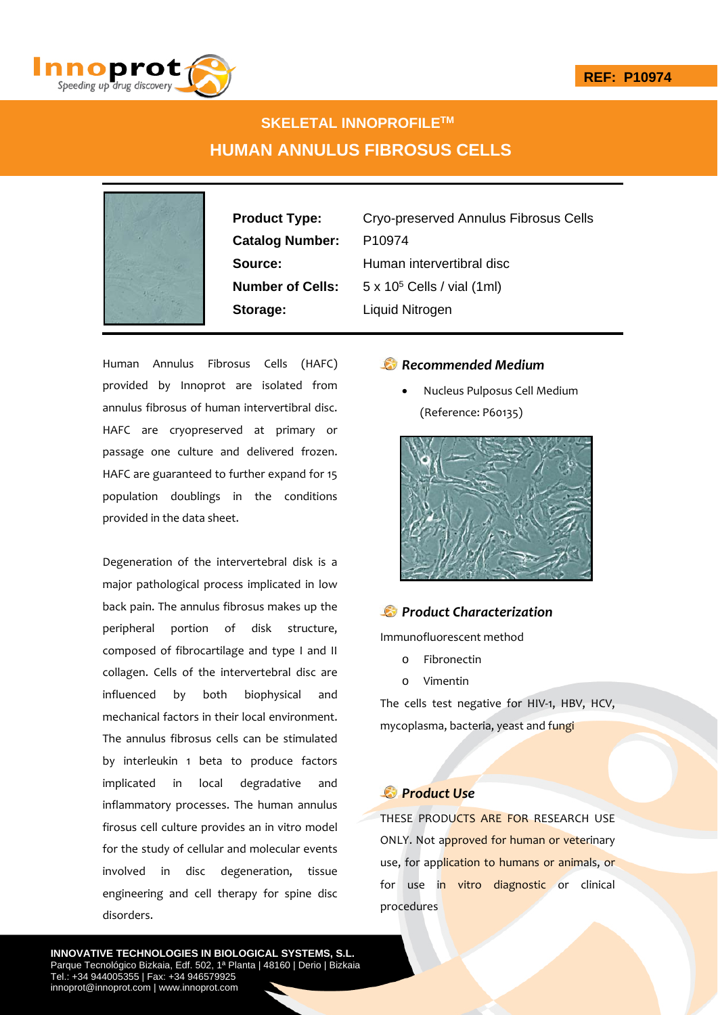

# **SKELETAL INNOPROFILETM HUMAN ANNULUS FIBROSUS CELLS**



**Catalog Number:** P10974 **Storage:** Liquid Nitrogen

**Product Type:** Cryo-preserved Annulus Fibrosus Cells **Source:** Human intervertibral disc **Number of Cells:** 5 x 10<sup>5</sup> Cells / vial (1ml)

Human Annulus Fibrosus Cells (HAFC) provided by Innoprot are isolated from annulus fibrosus of human intervertibral disc. HAFC are cryopreserved at primary or passage one culture and delivered frozen. HAFC are guaranteed to further expand for 15 population doublings in the conditions provided in the data sheet.

Degeneration of the intervertebral disk is a major pathological process implicated in low back pain. The annulus fibrosus makes up the peripheral portion of disk structure, composed of fibrocartilage and type I and II collagen. Cells of the intervertebral disc are influenced by both biophysical and mechanical factors in their local environment. The annulus fibrosus cells can be stimulated by interleukin 1 beta to produce factors implicated in local degradative and inflammatory processes. The human annulus firosus cell culture provides an in vitro model for the study of cellular and molecular events involved in disc degeneration, tissue engineering and cell therapy for spine disc disorders.

## *Recommended Medium*

 Nucleus Pulposus Cell Medium (Reference: P60135)



### *Product Characterization*

Immunofluorescent method

- o Fibronectin
- o Vimentin

The cells test negative for HIV-1, HBV, HCV, mycoplasma, bacteria, yeast and fungi

# *Product Use*

THESE PRODUCTS ARE FOR RESEARCH USE ONLY. Not approved for human or veterinary use, for application to humans or animals, or for use in vitro diagnostic or clinical procedures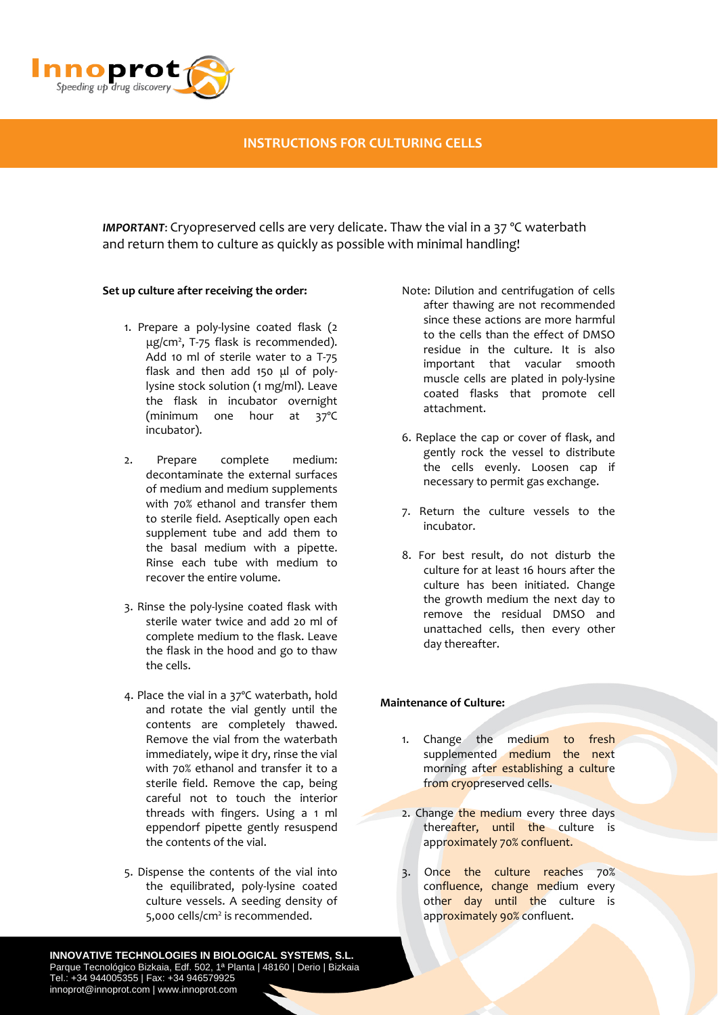

## **INSTRUCTIONS FOR CULTURING CELLS**

*IMPORTANT*: Cryopreserved cells are very delicate. Thaw the vial in a 37 ºC waterbath and return them to culture as quickly as possible with minimal handling!

#### **Set up culture after receiving the order:**

- 1. Prepare a poly‐lysine coated flask (2 μg/cm<sup>2</sup>, T-75 flask is recommended). Add 10 ml of sterile water to a T‐75 flask and then add 150 μl of poly‐ lysine stock solution (1 mg/ml). Leave the flask in incubator overnight (minimum one hour at 37ºC incubator).
- 2. Prepare complete medium: decontaminate the external surfaces of medium and medium supplements with 70% ethanol and transfer them to sterile field. Aseptically open each supplement tube and add them to the basal medium with a pipette. Rinse each tube with medium to recover the entire volume.
- 3. Rinse the poly‐lysine coated flask with sterile water twice and add 20 ml of complete medium to the flask. Leave the flask in the hood and go to thaw the cells.
- 4. Place the vial in a 37ºC waterbath, hold and rotate the vial gently until the contents are completely thawed. Remove the vial from the waterbath immediately, wipe it dry, rinse the vial with 70% ethanol and transfer it to a sterile field. Remove the cap, being careful not to touch the interior threads with fingers. Using a 1 ml eppendorf pipette gently resuspend the contents of the vial.
- 5. Dispense the contents of the vial into the equilibrated, poly‐lysine coated culture vessels. A seeding density of 5,000 cells/cm<sup>2</sup> is recommended.

**INNOVATIVE TECHNOLOGIES IN BIOLOGICAL SYSTEMS, S.L.** Parque Tecnológico Bizkaia, Edf. 502, 1ª Planta | 48160 | Derio | Bizkaia Tel.: +34 944005355 | Fax: +34 946579925 innoprot@innoprot.com | www.innoprot.com

- Note: Dilution and centrifugation of cells after thawing are not recommended since these actions are more harmful to the cells than the effect of DMSO residue in the culture. It is also important that vacular smooth muscle cells are plated in poly‐lysine coated flasks that promote cell attachment.
- 6. Replace the cap or cover of flask, and gently rock the vessel to distribute the cells evenly. Loosen cap if necessary to permit gas exchange.
- 7. Return the culture vessels to the incubator.
- 8. For best result, do not disturb the culture for at least 16 hours after the culture has been initiated. Change the growth medium the next day to remove the residual DMSO and unattached cells, then every other day thereafter.

#### **Maintenance of Culture:**

- 1. Change the medium to fresh supplemented medium the next morning after establishing a culture from cryopreserved cells.
- 2. Change the medium every three days thereafter, until the culture is approximately 70% confluent.
- 3. Once the culture reaches 70% confluence, change medium every other day until the culture is approximately 90% confluent.